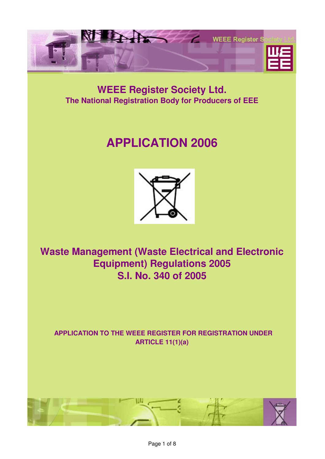

## **WEEE Register Society Ltd. The National Registration Body for Producers of EEE**

# **APPLICATION 2006**



**Waste Management (Waste Electrical and Electronic Equipment) Regulations 2005 S.I. No. 340 of 2005**

**APPLICATION TO THE WEEE REGISTER FOR REGISTRATION UNDER ARTICLE 11(1)(a)**

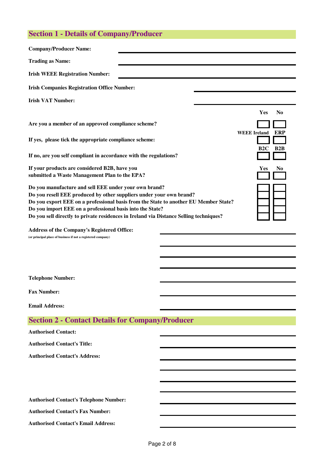## **Section 1 - Details of Company/Producer**

| <b>Company/Producer Name:</b>                                                                                                                                                                                                                                                                                                                                               |  |                       |
|-----------------------------------------------------------------------------------------------------------------------------------------------------------------------------------------------------------------------------------------------------------------------------------------------------------------------------------------------------------------------------|--|-----------------------|
| <b>Trading as Name:</b>                                                                                                                                                                                                                                                                                                                                                     |  |                       |
| <b>Irish WEEE Registration Number:</b>                                                                                                                                                                                                                                                                                                                                      |  |                       |
| <b>Irish Companies Registration Office Number:</b>                                                                                                                                                                                                                                                                                                                          |  |                       |
| <b>Irish VAT Number:</b>                                                                                                                                                                                                                                                                                                                                                    |  |                       |
|                                                                                                                                                                                                                                                                                                                                                                             |  | Yes<br>N <sub>0</sub> |
| Are you a member of an approved compliance scheme?                                                                                                                                                                                                                                                                                                                          |  | WEEE Ireland ERI      |
| If yes, please tick the appropriate compliance scheme:                                                                                                                                                                                                                                                                                                                      |  | B2C<br><b>B2F</b>     |
| If no, are you self compliant in accordance with the regulations?                                                                                                                                                                                                                                                                                                           |  |                       |
| If your products are considered B2B, have you<br>Yes<br>submitted a Waste Management Plan to the EPA?                                                                                                                                                                                                                                                                       |  |                       |
| Do you manufacture and sell EEE under your own brand?<br>Do you resell EEE produced by other suppliers under your own brand?<br>Do you export EEE on a professional basis from the State to another EU Member State?<br>Do you import EEE on a professional basis into the State?<br>Do you sell directly to private residences in Ireland via Distance Selling techniques? |  |                       |
| Address of the Company's Registered Office:<br>(or principal place of business if not a registered company)                                                                                                                                                                                                                                                                 |  |                       |
|                                                                                                                                                                                                                                                                                                                                                                             |  |                       |
|                                                                                                                                                                                                                                                                                                                                                                             |  |                       |
| <b>Telephone Number:</b>                                                                                                                                                                                                                                                                                                                                                    |  |                       |
| <b>Fax Number:</b>                                                                                                                                                                                                                                                                                                                                                          |  |                       |
| <b>Email Address:</b>                                                                                                                                                                                                                                                                                                                                                       |  |                       |
| <b>Section 2 - Contact Details for Company/Producer</b>                                                                                                                                                                                                                                                                                                                     |  |                       |
| <b>Authorised Contact:</b>                                                                                                                                                                                                                                                                                                                                                  |  |                       |
| <b>Authorised Contact's Title:</b>                                                                                                                                                                                                                                                                                                                                          |  |                       |
| <b>Authorised Contact's Address:</b>                                                                                                                                                                                                                                                                                                                                        |  |                       |
|                                                                                                                                                                                                                                                                                                                                                                             |  |                       |
|                                                                                                                                                                                                                                                                                                                                                                             |  |                       |
| <b>Authorised Contact's Telephone Number:</b>                                                                                                                                                                                                                                                                                                                               |  |                       |
| <b>Authorised Contact's Fax Number:</b>                                                                                                                                                                                                                                                                                                                                     |  |                       |
|                                                                                                                                                                                                                                                                                                                                                                             |  |                       |

**Authorised Contact's Email Address:**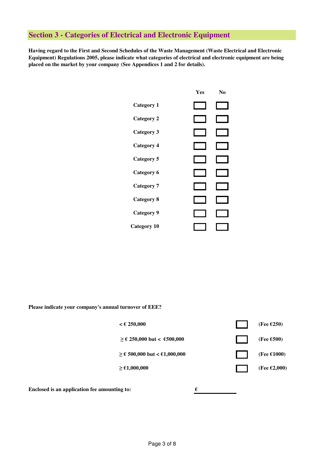#### **Section 3 - Categories of Electrical and Electronic Equipment**

**Having regard to the First and Second Schedules of the Waste Management (Waste Electrical and Electronic Equipment) Regulations 2005, please indicate what categories of electrical and electronic equipment are being placed on the market by your company (See Appendices 1 and 2 for details).** 



**Please indicate your company's annual turnover of EEE?** 



**Enclosed is an application fee amounting to:** €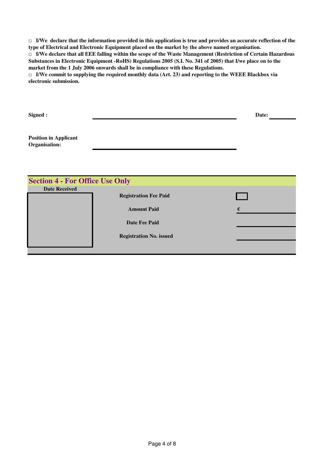□ **I/We declare that the information provided in this application is true and provides an accurate reflection of the type of Electrical and Electronic Equipment placed on the market by the above named organisation.**

□ **I/We declare that all EEE falling within the scope of the Waste Management (Restriction of Certain Hazardous Substances in Electronic Equipment -RoHS) Regulations 2005 (S.I. No. 341 of 2005) that I/we place on to the market from the 1 July 2006 onwards shall be in compliance with these Regulations.**

Date:

 $\Box$  I/We commit to supplying the required monthly data (Art. 23) and reporting to the WEEE Blackbox via **electronic submission.**

**Signed :**

**Position in Applicant Organisation:**

| <b>Section 4 - For Office Use Only</b> |                                |   |  |
|----------------------------------------|--------------------------------|---|--|
| <b>Date Received</b>                   |                                |   |  |
|                                        | <b>Registration Fee Paid</b>   |   |  |
|                                        | <b>Amount Paid</b>             | € |  |
|                                        | Date Fee Paid                  |   |  |
|                                        |                                |   |  |
|                                        | <b>Registration No. issued</b> |   |  |
|                                        |                                |   |  |
|                                        |                                |   |  |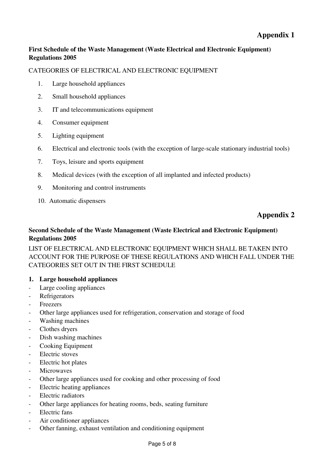#### **First Schedule of the Waste Management (Waste Electrical and Electronic Equipment) Regulations 2005**

#### CATEGORIES OF ELECTRICAL AND ELECTRONIC EQUIPMENT

- 1. Large household appliances
- 2. Small household appliances
- 3. IT and telecommunications equipment
- 4. Consumer equipment
- 5. Lighting equipment
- 6. Electrical and electronic tools (with the exception of large-scale stationary industrial tools)
- 7. Toys, leisure and sports equipment
- 8. Medical devices (with the exception of all implanted and infected products)
- 9. Monitoring and control instruments
- 10. Automatic dispensers

### **Appendix 2**

#### **Second Schedule of the Waste Management (Waste Electrical and Electronic Equipment) Regulations 2005**

LIST OF ELECTRICAL AND ELECTRONIC EQUIPMENT WHICH SHALL BE TAKEN INTO ACCOUNT FOR THE PURPOSE OF THESE REGULATIONS AND WHICH FALL UNDER THE CATEGORIES SET OUT IN THE FIRST SCHEDULE

#### **1. Large household appliances**

- Large cooling appliances
- Refrigerators
- **Freezers**
- Other large appliances used for refrigeration, conservation and storage of food
- Washing machines
- Clothes dryers
- Dish washing machines
- Cooking Equipment
- Electric stoves
- Electric hot plates
- **Microwaves**
- Other large appliances used for cooking and other processing of food
- Electric heating appliances
- Electric radiators
- Other large appliances for heating rooms, beds, seating furniture
- Electric fans
- Air conditioner appliances
- Other fanning, exhaust ventilation and conditioning equipment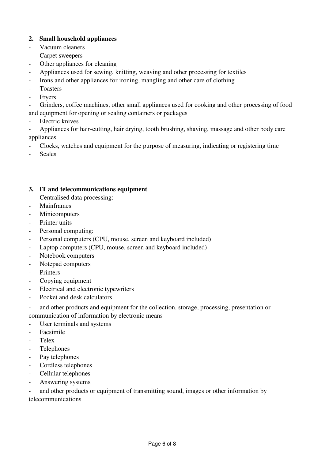#### **2. Small household appliances**

- Vacuum cleaners
- Carpet sweepers
- Other appliances for cleaning
- Appliances used for sewing, knitting, weaving and other processing for textiles
- Irons and other appliances for ironing, mangling and other care of clothing
- **Toasters**
- **Fryers**

- Grinders, coffee machines, other small appliances used for cooking and other processing of food and equipment for opening or sealing containers or packages

Electric knives

- Appliances for hair-cutting, hair drying, tooth brushing, shaving, massage and other body care appliances

- Clocks, watches and equipment for the purpose of measuring, indicating or registering time
- **Scales**

#### **3. IT and telecommunications equipment**

- Centralised data processing:
- Mainframes
- **Minicomputers**
- Printer units
- Personal computing:
- Personal computers (CPU, mouse, screen and keyboard included)
- Laptop computers (CPU, mouse, screen and keyboard included)
- Notebook computers
- Notepad computers
- **Printers**
- Copying equipment
- Electrical and electronic typewriters
- Pocket and desk calculators

- and other products and equipment for the collection, storage, processing, presentation or communication of information by electronic means

- User terminals and systems
- Facsimile
- Telex
- **Telephones**
- Pay telephones
- Cordless telephones
- Cellular telephones
- Answering systems

- and other products or equipment of transmitting sound, images or other information by telecommunications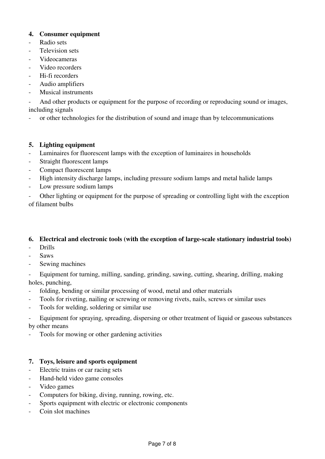#### **4. Consumer equipment**

- Radio sets
- Television sets
- Videocameras
- Video recorders
- Hi-fi recorders
- Audio amplifiers
- Musical instruments

- And other products or equipment for the purpose of recording or reproducing sound or images, including signals

- or other technologies for the distribution of sound and image than by telecommunications

#### **5. Lighting equipment**

- Luminaires for fluorescent lamps with the exception of luminaires in households
- Straight fluorescent lamps
- Compact fluorescent lamps
- High intensity discharge lamps, including pressure sodium lamps and metal halide lamps
- Low pressure sodium lamps

Other lighting or equipment for the purpose of spreading or controlling light with the exception of filament bulbs

#### **6. Electrical and electronic tools (with the exception of large-scale stationary industrial tools)**

- Drills
- Saws
- Sewing machines

- Equipment for turning, milling, sanding, grinding, sawing, cutting, shearing, drilling, making holes, punching,

- folding, bending or similar processing of wood, metal and other materials
- Tools for riveting, nailing or screwing or removing rivets, nails, screws or similar uses
- Tools for welding, soldering or similar use

- Equipment for spraying, spreading, dispersing or other treatment of liquid or gaseous substances by other means

Tools for mowing or other gardening activities

#### **7. Toys, leisure and sports equipment**

- Electric trains or car racing sets
- Hand-held video game consoles
- Video games
- Computers for biking, diving, running, rowing, etc.
- Sports equipment with electric or electronic components
- Coin slot machines